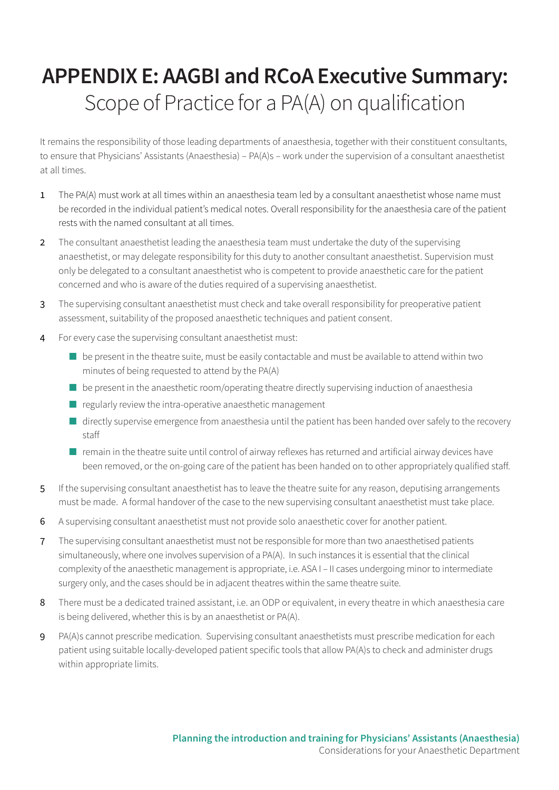## **APPENDIX E: AAGBI and RCoA Executive Summary:**  Scope of Practice for a PA(A) on qualification

It remains the responsibility of those leading departments of anaesthesia, together with their constituent consultants, to ensure that Physicians' Assistants (Anaesthesia) – PA(A)s – work under the supervision of a consultant anaesthetist at all times.

- 1 The PA(A) must work at all times within an anaesthesia team led by a consultant anaesthetist whose name must be recorded in the individual patient's medical notes. Overall responsibility for the anaesthesia care of the patient rests with the named consultant at all times.
- 2 The consultant anaesthetist leading the anaesthesia team must undertake the duty of the supervising anaesthetist, or may delegate responsibility for this duty to another consultant anaesthetist. Supervision must only be delegated to a consultant anaesthetist who is competent to provide anaesthetic care for the patient concerned and who is aware of the duties required of a supervising anaesthetist.
- 3 The supervising consultant anaesthetist must check and take overall responsibility for preoperative patient assessment, suitability of the proposed anaesthetic techniques and patient consent.
- 4 For every case the supervising consultant anaesthetist must:
	- be present in the theatre suite, must be easily contactable and must be available to attend within two minutes of being requested to attend by the PA(A)
	- be present in the anaesthetic room/operating theatre directly supervising induction of anaesthesia
	- $\blacksquare$  regularly review the intra-operative anaesthetic management
	- directly supervise emergence from anaesthesia until the patient has been handed over safely to the recovery staff
	- remain in the theatre suite until control of airway reflexes has returned and artificial airway devices have been removed, or the on-going care of the patient has been handed on to other appropriately qualified staff.
- 5 If the supervising consultant anaesthetist has to leave the theatre suite for any reason, deputising arrangements must be made. A formal handover of the case to the new supervising consultant anaesthetist must take place.
- 6 A supervising consultant anaesthetist must not provide solo anaesthetic cover for another patient.
- 7 The supervising consultant anaesthetist must not be responsible for more than two anaesthetised patients simultaneously, where one involves supervision of a PA(A). In such instances it is essential that the clinical complexity of the anaesthetic management is appropriate, i.e. ASA I – II cases undergoing minor to intermediate surgery only, and the cases should be in adjacent theatres within the same theatre suite.
- 8 There must be a dedicated trained assistant, i.e. an ODP or equivalent, in every theatre in which anaesthesia care is being delivered, whether this is by an anaesthetist or PA(A).
- 9 PA(A)s cannot prescribe medication. Supervising consultant anaesthetists must prescribe medication for each patient using suitable locally-developed patient specific tools that allow PA(A)s to check and administer drugs within appropriate limits.